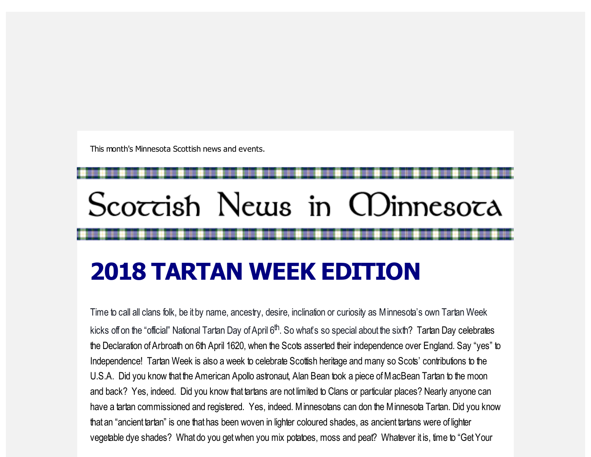This month's Minnesota Scottish news and events.

# Scoccish News in CDinnesoca

## 2018 TARTAN WEEK EDITION

Time to call all clans folk, be it by name, ancestry, desire, inclination or curiosity as Minnesota's own Tartan Week kicks offon the "official" National Tartan Day of April 6<sup>th</sup>. So what's so special about the sixth? Tartan Day celebrates the Declaration of Arbroath on 6th April 1620, when the Scots asserted their independence over England. Say "yes" to Independence! Tartan Week is also a week to celebrate Scottish heritage and many so Scots' contributions to the U.S.A. Did you know that the American Apollo astronaut, Alan Bean took a piece ofMacBean Tartan to the moon and back? Yes, indeed. Did you know that tartans are not limited to Clans or particular places? Nearly anyone can have a tartan commissioned and registered. Yes, indeed. Minnesotans can don the Minnesota Tartan. Did you know that an "ancient tartan" is one that has been woven in lighter coloured shades, as ancient tartans were of lighter vegetable dye shades? What do you getwhen you mix potatoes, moss and peat? Whatever it is, time to "GetYour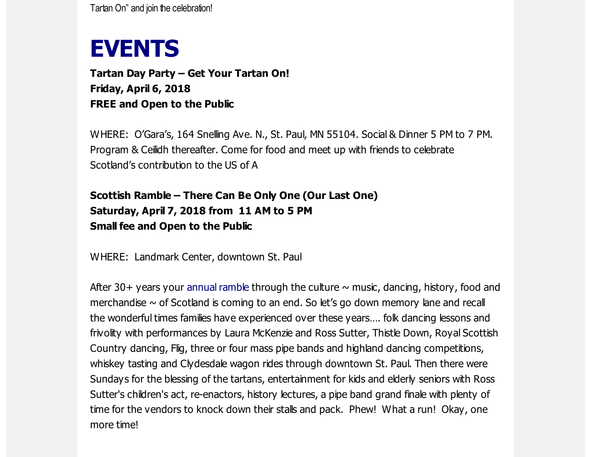Tartan On" and join the celebration!

## EVENTS

Tartan Day Party – Get Your Tartan On! Friday, April 6, 2018 FREE and Open to the Public

WHERE: O'Gara's, 164 Snelling Ave. N., St. Paul, MN 55104. Social & Dinner 5 PM to 7 PM. Program & Ceilidh thereafter. Come for food and meet up with friends to celebrate Scotland's contribution to the US of A

### Scottish Ramble – There Can Be Only One (Our Last One) Saturday, April 7, 2018 from 11 AM to 5 PM Small fee and Open to the Public

WHERE: Landmark Center, downtown St. Paul

After 30+ years your [annual](https://scottishamericancentermn.us10.list-manage.com/track/click?u=2fe4099001736ac4b948473e4&id=d37291244a&e=6b0ba04b53) ramble through the culture  $\sim$  music, dancing, history, food and merchandise  $\sim$  of Scotland is coming to an end. So let's go down memory lane and recall the wonderful times families have experienced over these years…. folk dancing lessons and frivolity with performances by Laura McKenzie and Ross Sutter, Thistle Down, Royal Scottish Country dancing, Flig, three or four mass pipe bands and highland dancing competitions, whiskey tasting and Clydesdale wagon rides through downtown St. Paul. Then there were Sundays for the blessing of the tartans, entertainment for kids and elderly seniors with Ross Sutter's children's act, re-enactors, history lectures, a pipe band grand finale with plenty of time for the vendors to knock down their stalls and pack. Phew! What a run! Okay, one more time!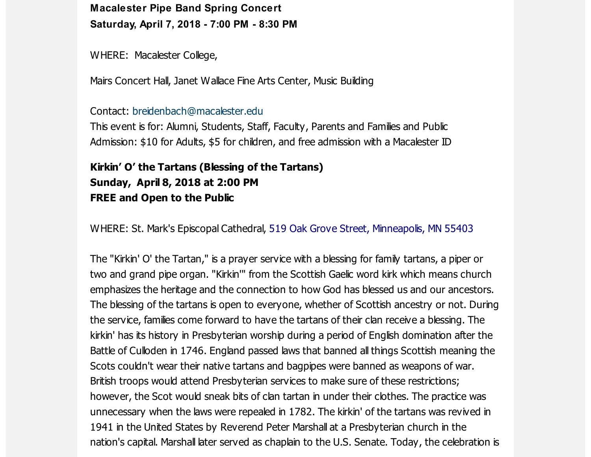Macalester Pipe Band Spring Concert Saturday, April 7, 2018 - 7:00 PM - 8:30 PM

WHERE: Macalester College,

Mairs Concert Hall, Janet Wallace Fine Arts Center, Music Building

#### Contact: [breidenbach@macalester.edu](mailto:breidenbach@macalester.edu)

This event is for: Alumni, Students, Staff, Faculty, Parents and Families and Public Admission: \$10 for Adults, \$5 for children, and free admission with a Macalester ID

#### Kirkin' O' the Tartans (Blessing of the Tartans) Sunday, April 8, 2018 at 2:00 PM FREE and Open to the Public

WHERE: St. Mark's Episcopal Cathedral, 519 Oak Grove Street, [Minneapolis,](https://scottishamericancentermn.us10.list-manage.com/track/click?u=2fe4099001736ac4b948473e4&id=4ecaae8a45&e=6b0ba04b53) MN 55403

The "Kirkin' O' the Tartan," is a prayer service with a blessing for family tartans, a piper or two and grand pipe organ. "Kirkin'" from the Scottish Gaelic word kirk which means church emphasizes the heritage and the connection to how God has blessed us and our ancestors. The blessing of the tartans is open to everyone, whether of Scottish ancestry or not. During the service, families come forward to have the tartans of their clan receive a blessing. The kirkin' has its history in Presbyterian worship during a period of English domination after the Battle of Culloden in 1746. England passed laws that banned all things Scottish meaning the Scots couldn't wear their native tartans and bagpipes were banned as weapons of war. British troops would attend Presbyterian services to make sure of these restrictions; however, the Scot would sneak bits of clan tartan in under their clothes. The practice was unnecessary when the laws were repealed in 1782. The kirkin' of the tartans was revived in 1941 in the United States by Reverend Peter Marshall at a Presbyterian church in the nation's capital. Marshall later served as chaplain to the U.S. Senate. Today, the celebration is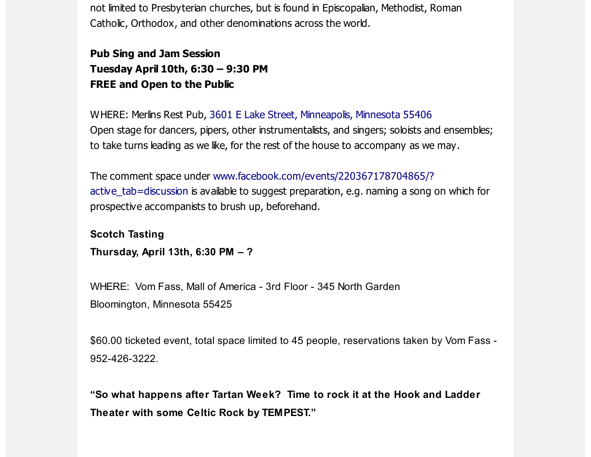not limited to Presbyterian churches, but is found in Episcopalian, Methodist, Roman Catholic, Orthodox, and other denominations across the world.

Pub Sing and Jam Session Tuesday April 10th, 6:30 – 9:30 PM FREE and Open to the Public

WHERE: Merlins Rest Pub, 3601 E Lake Street, [Minneapolis,](https://scottishamericancentermn.us10.list-manage.com/track/click?u=2fe4099001736ac4b948473e4&id=4b6d57eeb2&e=6b0ba04b53) Minnesota 55406 Open stage for dancers, pipers, other instrumentalists, and singers; soloists and ensembles; to take turns leading as we like, for the rest of the house to accompany as we may.

The comment space under [www.facebook.com/events/220367178704865/?](https://scottishamericancentermn.us10.list-manage.com/track/click?u=2fe4099001736ac4b948473e4&id=211d655716&e=6b0ba04b53) active\_tab=discussion is available to suggest preparation, e.g. naming a song on which for prospective accompanists to brush up, beforehand.

Scotch Tasting Thursday, April 13th, 6:30 PM – ?

WHERE: Vom Fass, Mall of America - 3rd Floor - 345 North Garden Bloomington, Minnesota 55425

\$60.00 ticketed event, total space limited to 45 people, reservations taken by Vom Fass - 952-426-3222.

"So what happens after Tartan Week? Time to rock it at the Hook and Ladder Theater with some Celtic Rock by TEMPEST."